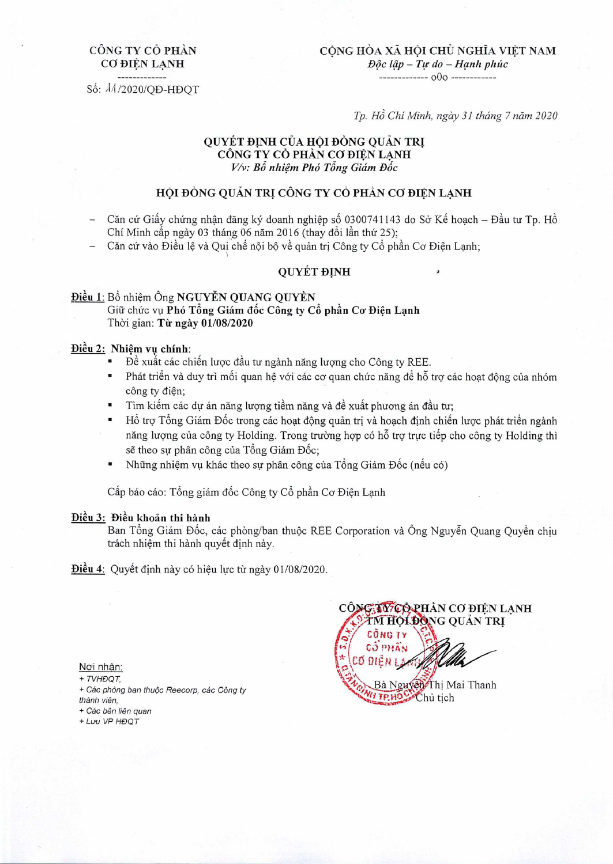# CÔNG TY CỔ PHẦN CO ĐIỀN LANH

**CONG HOA XA HQI cijU NGHIA VIT NAM**  *D5c 41p — Tr do — Hanh phác o0o*

S: I4 /2020/QD-HDQT

*Tp. H Chi Minh, ngày 31 tháng 7 nám 2020* 

## QUYET **DNH** CUA **HO! BONG QUAN** Th **CÔNG TY CỔ PHÀN CƠ ĐIỆN LẠNH** *V/v: Bổ nhiêm Phó Tổng Giám Đốc*

# **HỘI ĐỒNG QUẢN TRỊ CÔNG TY CỎ PHẢN CƠ ĐIỀN LANH**

- Căn cứ Giấy chứng nhân đăng ký doanh nghiệp số 0300741143 do Sở Kế hoach Đầu tư Tp. Hồ Chí Minh cấp ngày 03 tháng 06 năm 2016 (thay đổi lần thứ 25);
- Căn cứ vào Điều lê và Qui chế nôi bô về quản tri Công ty Cổ phần Cơ Điên Lanh;

# **QUYET ĐINH**

## **Điều 1: Bổ nhiêm Ông NGUYỄN QUANG QUYỀN** Giữ chức vụ Phó Tổng Giám đốc Công ty Cổ phần Cơ Điện Lạnh Thời gian: Từ ngày 01/08/2020

### Điều 2: Nhiêm vu chính:

- Đề xuất các chiến lược đầu tư ngành năng lượng cho Công ty REE.
- Phát triển và duy trì mối quan hê với các cơ quan chức năng để hỗ trợ các hoat động của nhóm công ty điên;
- Tìm kiếm các dự án năng lượng tiềm năng và đề xuất phương án đầu tư;
- $\blacksquare$  Hồ trợ Tổng Giám Đốc trong các hoạt động quản trị và hoach định chiến lược phát triển ngành năng luong của công ty Holding. Trong trường hợp có hỗ trợ trực tiếp cho công ty Holding thì sẽ theo sư phân công của Tổng Giám Đốc;
- Những nhiệm vụ khác theo sự phân công của Tổng Giám Đốc (nếu có)

Cấp báo cáo: Tổng giám đốc Công ty Cổ phần Cơ Điên Lanh

### Điều 3: Điều khoản thi hành

Ban Tổng Giám Đốc, các phòng/ban thuộc REE Corporation và Ông Nguyễn Quang Quyền chiu trách nhiêm thi hành quyết định này.

**Điều 4**: Quyết định này có hiệu lực từ ngày 01/08/2020.

Noi nhận:

+ TVHØQT

+ Các phòng ban thuộc Reecorp, các Công ty

thành viên,

+ Các bên liên quan

+ Luru VP HĐQT

**CÔNG THEORHÀN CO ĐIỀN LANH IM HOLDONG QUAN TRI Matter COAN TRANSPORT CONGTY**  $COPHAN$ ODIENIA **WHIPHOLOCHU tich**